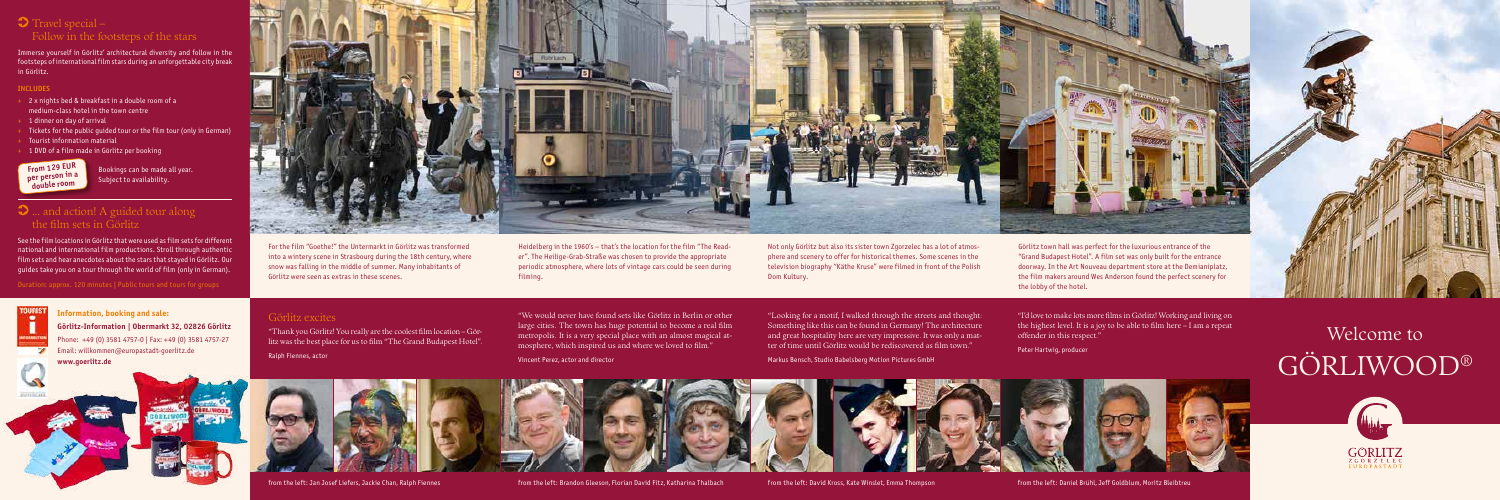# Welcome to GörliWood®





# $\bullet$  Travel special – Follow in the footsteps of the stars

Immerse yourself in Görlitz' architectural diversity and follow in the footsteps of international film stars during an unforgettable city break in Görlitz.

#### **Includes**

- 2 x nights bed & breakfast in a double room of a medium-class hotel in the town centre
- 1 dinner on day of arrival
- + Tickets for the public guided tour or the film tour (only in German)
- **Tourist information material**
- 1 DVD of a film made in Görlitz per booking

# $\bullet$  ... and action! A guided tour along the film sets in Görlitz

 Bookings can be made all year. Subject to availability.

See the film locations in Görlitz that were used as film sets for different national and international film productions. Stroll through authentic film sets and hear anecdotes about the stars that stayed in Görlitz. Our guides take you on a tour through the world of film (only in German).

Duration: approx. 120 minutes | Public tours and tours for groups



**From 129 EUR per person in a double room**

**Information, booking and sale:** 

**Görlitz-Information | Obermarkt 32, 02826 Görlitz** Phone: +49 (0) 3581 4757-0 | Fax: +49 (0) 3581 4757-27 Email: willkommen@europastadt-goerlitz.de **www.goerlitz.de**



"I'd love to make lots more films in Görlitz! Working and living on the highest level. It is a joy to be able to film here – I am a repeat offender in this respect."

Peter Hartwig, producer

### Görlitz excites

"Thank you Görlitz! You really are the coolest film location – Görlitz was the best place for us to film "The Grand Budapest Hotel". Ralph Fiennes, actor

"Looking for a motif, I walked through the streets and thought: Something like this can be found in Germany! The architecture and great hospitality here are very impressive. It was only a matter of time until Görlitz would be rediscovered as film town."

Markus Bensch, Studio Babelsberg Motion Pictures GmbH

"We would never have found sets like Görlitz in Berlin or other large cities. The town has huge potential to become a real film metropolis. It is a very special place with an almost magical atmosphere, which inspired us and where we loved to film."

Vincent Perez, actor and director





For the film "Goethe!" the Untermarkt in Görlitz was transformed into a wintery scene in Strasbourg during the 18th century, where snow was falling in the middle of summer. Many inhabitants of Görlitz were seen as extras in these scenes.

Heidelberg in the 1960's – that's the location for the film "The Reader". The Heilige-Grab-Straße was chosen to provide the appropriate periodic atmosphere, where lots of vintage cars could be seen during filming.

Not only Görlitz but also its sister town Zgorzelec has a lot of atmosphere and scenery to offer for historical themes. Some scenes in the television biography "Käthe Kruse" were filmed in front of the Polish Dom Kultury.

Görlitz town hall was perfect for the luxurious entrance of the "Grand Budapest Hotel". A film set was only built for the entrance doorway. In the Art Nouveau department store at the Demianiplatz, the film makers around Wes Anderson found the perfect scenery for the lobby of the hotel.